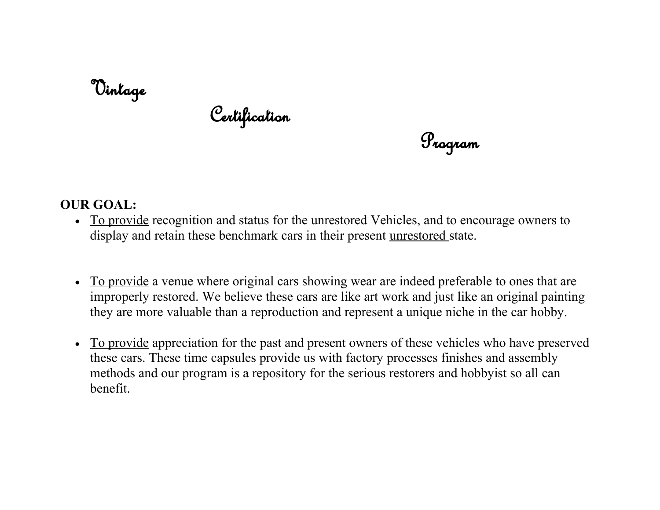## Vintage

Certification

Program

## **OUR GOAL:**

- To provide recognition and status for the unrestored Vehicles, and to encourage owners to display and retain these benchmark cars in their present unrestored state.
- To provide a venue where original cars showing wear are indeed preferable to ones that are improperly restored. We believe these cars are like art work and just like an original painting they are more valuable than a reproduction and represent a unique niche in the car hobby.
- To provide appreciation for the past and present owners of these vehicles who have preserved these cars. These time capsules provide us with factory processes finishes and assembly methods and our program is a repository for the serious restorers and hobbyist so all can benefit.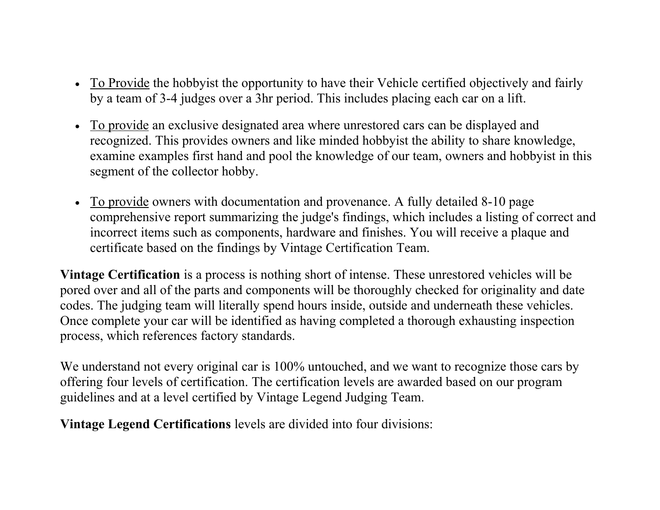- To Provide the hobbyist the opportunity to have their Vehicle certified objectively and fairly by a team of 3-4 judges over a 3hr period. This includes placing each car on a lift.
- To provide an exclusive designated area where unrestored cars can be displayed and recognized. This provides owners and like minded hobbyist the ability to share knowledge, examine examples first hand and pool the knowledge of our team, owners and hobbyist in this segment of the collector hobby.
- To provide owners with documentation and provenance. A fully detailed 8-10 page comprehensive report summarizing the judge's findings, which includes a listing of correct and incorrect items such as components, hardware and finishes. You will receive a plaque and certificate based on the findings by Vintage Certification Team.

**Vintage Certification** is a process is nothing short of intense. These unrestored vehicles will be pored over and all of the parts and components will be thoroughly checked for originality and date codes. The judging team will literally spend hours inside, outside and underneath these vehicles. Once complete your car will be identified as having completed a thorough exhausting inspection process, which references factory standards.

We understand not every original car is 100% untouched, and we want to recognize those cars by offering four levels of certification. The certification levels are awarded based on our program guidelines and at a level certified by Vintage Legend Judging Team.

**Vintage Legend Certifications** levels are divided into four divisions: